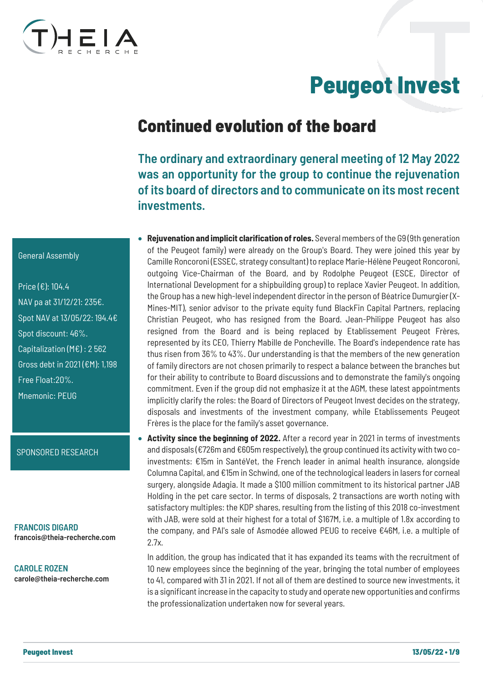

# Peugeot Invest

### Continued evolution of the board

The ordinary and extraordinary general meeting of 12 May 2022 was an opportunity for the group to continue the rejuvenation of its board of directors and to communicate on its most recent **investments** 

- **Rejuvenation and implicit clarification of roles.** Several members of the G9 (9th generation of the Peugeot family) were already on the Group's Board. They were joined this year by Camille Roncoroni (ESSEC, strategy consultant) to replace Marie-Hélène Peugeot Roncoroni, outgoing Vice-Chairman of the Board, and by Rodolphe Peugeot (ESCE, Director of International Development for a shipbuilding group) to replace Xavier Peugeot. In addition, the Group has a new high-level independent director in the person of Béatrice Dumurgier (X-Mines-MIT), senior advisor to the private equity fund BlackFin Capital Partners, replacing Christian Peugeot, who has resigned from the Board. Jean-Philippe Peugeot has also resigned from the Board and is being replaced by Etablissement Peugeot Frères, represented by its CEO, Thierry Mabille de Poncheville. The Board's independence rate has thus risen from 36% to 43%. Our understanding is that the members of the new generation of family directors are not chosen primarily to respect a balance between the branches but for their ability to contribute to Board discussions and to demonstrate the family's ongoing commitment. Even if the group did not emphasize it at the AGM, these latest appointments implicitly clarify the roles: the Board of Directors of Peugeot Invest decides on the strategy, disposals and investments of the investment company, while Etablissements Peugeot Frères is the place for the family's asset governance.
- **Activity since the beginning of 2022.** After a record year in 2021 in terms of investments and disposals (€726m and €605m respectively), the group continued its activity with two coinvestments: €15m in SantéVet, the French leader in animal health insurance, alongside Columna Capital, and €15m in Schwind, one of the technological leaders in lasers for corneal surgery, alongside Adagia. It made a \$100 million commitment to its historical partner JAB Holding in the pet care sector. In terms of disposals, 2 transactions are worth noting with satisfactory multiples: the KDP shares, resulting from the listing of this 2018 co-investment with JAB, were sold at their highest for a total of \$167M, i.e. a multiple of 1.8x according to the company, and PAI's sale of Asmodée allowed PEUG to receive €46M, i.e. a multiple of 2.7x.

In addition, the group has indicated that it has expanded its teams with the recruitment of 10 new employees since the beginning of the year, bringing the total number of employees to 41, compared with 31 in 2021. If not all of them are destined to source new investments, it is a significant increase in the capacity to study and operate new opportunities and confirms the professionalization undertaken now for several years.

#### General Assembly

Price (€): 104.4 NAV pa at 31/12/21: 235€. Spot NAV at 13/05/22: 194.4€ Spot discount: 46%. Capitalization (M€) : 2 562 Gross debt in 2021 (€M): 1,198 Free Float:20%. Mnemonic: PEUG

#### SPONSORED RESEARCH

FRANCOIS DIGARD francois@theia-recherche.com

CAROLE ROZEN carole@theia-recherche.com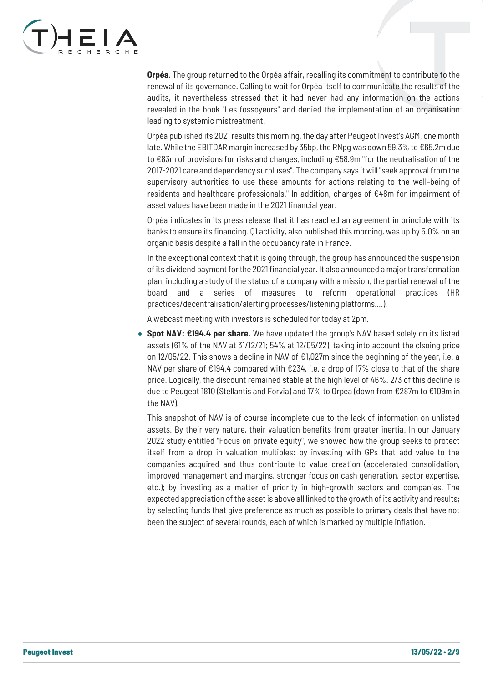

**Orpéa**. The group returned to the Orpéa affair, recalling its commitment to contribute to the renewal of its governance. Calling to wait for Orpéa itself to communicate the results of the audits, it nevertheless stressed that it had never had any information on the actions revealed in the book "Les fossoyeurs" and denied the implementation of an organisation leading to systemic mistreatment.

Orpéa published its 2021 results this morning, the day after Peugeot Invest's AGM, one month late. While the EBITDAR margin increased by 35bp, the RNpg was down 59.3% to €65.2m due to €83m of provisions for risks and charges, including €58.9m "for the neutralisation of the 2017-2021 care and dependency surpluses". The company says it will "seek approval from the supervisory authorities to use these amounts for actions relating to the well-being of residents and healthcare professionals." In addition, charges of €48m for impairment of asset values have been made in the 2021 financial year.

Orpéa indicates in its press release that it has reached an agreement in principle with its banks to ensure its financing. Q1 activity, also published this morning, was up by 5.0% on an organic basis despite a fall in the occupancy rate in France.

In the exceptional context that it is going through, the group has announced the suspension of its dividend payment for the 2021 financial year. It also announced a major transformation plan, including a study of the status of a company with a mission, the partial renewal of the board and a series of measures to reform operational practices (HR practices/decentralisation/alerting processes/listening platforms....).

A webcast meeting with investors is scheduled for today at 2pm.

• **Spot NAV: €194.4 per share.** We have updated the group's NAV based solely on its listed assets (61% of the NAV at 31/12/21; 54% at 12/05/22), taking into account the clsoing price on 12/05/22. This shows a decline in NAV of  $\epsilon$ 1,027m since the beginning of the year, i.e. a NAV per share of €194.4 compared with €234, i.e. a drop of 17% close to that of the share price. Logically, the discount remained stable at the high level of 46%. 2/3 of this decline is due to Peugeot 1810 (Stellantis and Forvia) and 17% to Orpéa (down from €287m to €109m in the NAV).

This snapshot of NAV is of course incomplete due to the lack of information on unlisted assets. By their very nature, their valuation benefits from greater inertia. In our January 2022 study entitled "Focus on private equity", we showed how the group seeks to protect itself from a drop in valuation multiples: by investing with GPs that add value to the companies acquired and thus contribute to value creation (accelerated consolidation, improved management and margins, stronger focus on cash generation, sector expertise, etc.); by investing as a matter of priority in high-growth sectors and companies. The expected appreciation of the asset is above all linked to the growth of its activity and results; by selecting funds that give preference as much as possible to primary deals that have not been the subject of several rounds, each of which is marked by multiple inflation.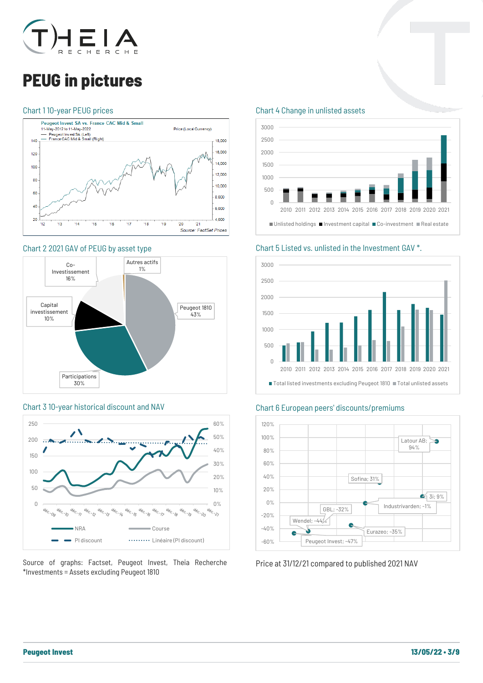

## PEUG in pictures

#### Chart 1 10-year PEUG prices



#### Chart 2 2021 GAV of PEUG by asset type



#### Chart 3 10-year historical discount and NAV



Source of graphs: Factset, Peugeot Invest, Theia Recherche \*Investments = Assets excluding Peugeot 1810

#### Chart 4 Change in unlisted assets



Chart 5 Listed vs. unlisted in the Investment GAV \*.



#### Chart 6 European peers' discounts/premiums



Price at 31/12/21 compared to published 2021 NAV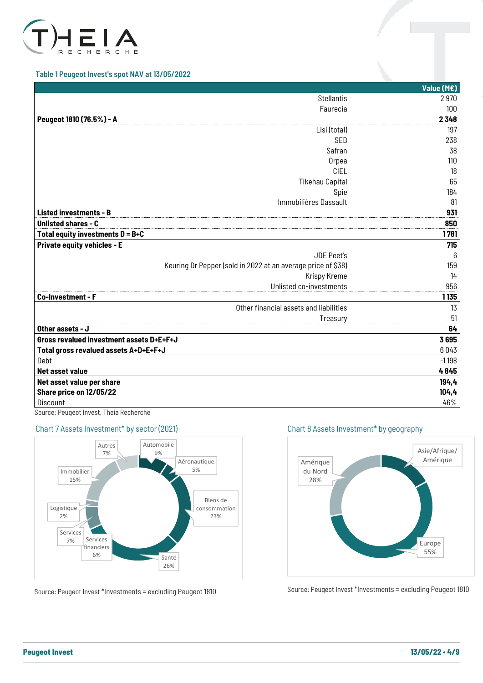

#### Table 1 Peugeot Invest's spot NAV at 13/05/2022

|                                                              | Value (M€) |
|--------------------------------------------------------------|------------|
| <b>Stellantis</b>                                            | 2970       |
| Faurecia                                                     | 100        |
| Peugeot 1810 (76.5%) - A                                     | 2348       |
| Lisi (total)                                                 | 197        |
| <b>SEB</b>                                                   | 238        |
| Safran                                                       | 38         |
| Orpea                                                        | 110        |
| <b>CIEL</b>                                                  | 18         |
| <b>Tikehau Capital</b>                                       | 65         |
| Spie                                                         | 184        |
| Immobilières Dassault                                        | 81         |
| <b>Listed investments - B</b>                                | 931        |
| <b>Unlisted shares - C</b>                                   | 850        |
| Total equity investments $D = B + C$                         | 1781       |
| <b>Private equity vehicles - E</b>                           | 715        |
| <b>JDE Peet's</b>                                            | 6          |
| Keuring Dr Pepper (sold in 2022 at an average price of \$38) | 159        |
| Krispy Kreme                                                 | 14         |
| Unlisted co-investments                                      | 956        |
| Co-Investment - F                                            | 1135       |
| Other financial assets and liabilities                       | 13         |
| Treasury                                                     | 51         |
| Other assets - J                                             | 64         |
| Gross revalued investment assets D+E+F+J                     | 3695       |
| Total gross revalued assets A+D+E+F+J                        | 6043       |
| Debt                                                         | $-1198$    |
| Net asset value                                              | 4845       |
| Net asset value per share                                    | 194,4      |
| Share price on 12/05/22                                      | 104, 4     |
| Discount                                                     | 46%        |

Source: Peugeot Invest, Theia Recherche

#### Chart 7 Assets Investment\* by sector (2021)



Source: Peugeot Invest \*Investments = excluding Peugeot 1810

Chart 8 Assets Investment\* by geography



Source: Peugeot Invest \*Investments = excluding Peugeot 1810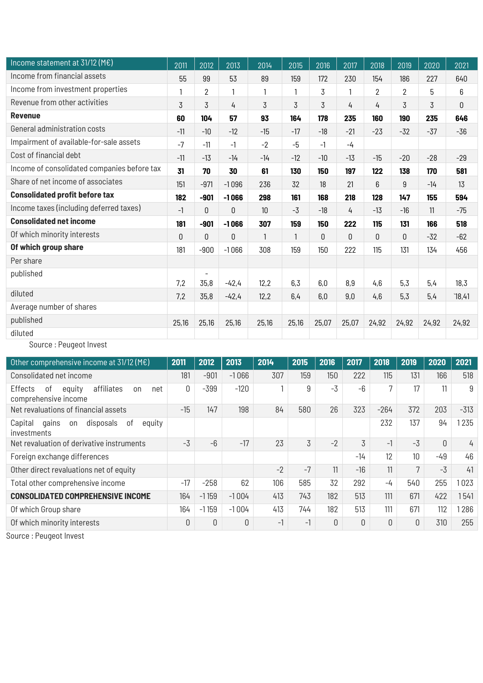| 2011         | 2012                     | 2013    | 2014    | 2015  | 2016  | 2017     | 2018     | 2019           | 2020           | 2021  |
|--------------|--------------------------|---------|---------|-------|-------|----------|----------|----------------|----------------|-------|
| 55           | 99                       | 53      | 89      | 159   | 172   | 230      | 154      | 186            | 227            | 640   |
|              | $\overline{2}$           |         |         |       | 3     |          | 2        | $\overline{2}$ | 5              | 6     |
| 3            | 3                        | 4       | 3       | 3     | 3     | 4        | 4        | 3              | $\overline{3}$ | 0     |
| 60           | 104                      | 57      | 93      | 164   | 178   | 235      | 160      | 190            | 235            | 646   |
| $-11$        | $-10$                    | $-12$   | $-15$   | $-17$ | $-18$ | $-21$    | $-23$    | $-32$          | $-37$          | $-36$ |
| $-7$         | $-11$                    | $-1$    | $-2$    | $-5$  | $-1$  | $-4$     |          |                |                |       |
| $-11$        | $-13$                    | $-14$   | $-14$   | $-12$ | $-10$ | $-13$    | $-15$    | $-20$          | $-28$          | $-29$ |
| 31           | 70                       | 30      | 61      | 130   | 150   | 197      | 122      | 138            | 170            | 581   |
| 151          | $-971$                   | $-1096$ | 236     | 32    | 18    | 21       | 6        | 9              | $-14$          | 13    |
| 182          | $-901$                   | $-1066$ | 298     | 161   | 168   | 218      | 128      | 147            | 155            | 594   |
| $-1$         | 0                        | 0       | 10      | $-3$  | $-18$ | 4        | $-13$    | $-16$          | 11             | $-75$ |
| 181          | $-901$                   | $-1066$ | 307     | 159   | 150   | 222      | 115      | 131            | 166            | 518   |
| $\mathbf{0}$ | 0                        | 0       | 1       |       | 0     | $\Omega$ | $\Omega$ | $\theta$       | $-32$          | $-62$ |
| 181          | $-900$                   | $-1066$ | 308     | 159   | 150   | 222      | 115      | 131            | 134            | 456   |
|              |                          |         |         |       |       |          |          |                |                |       |
|              | $\overline{\phantom{a}}$ |         |         |       |       |          |          |                |                |       |
|              |                          |         |         |       |       |          |          |                |                | 18,3  |
| 7,2          | 35,8                     | $-42,4$ | 12,2    | 6,4   | 6,0   | 9,0      | 4,6      | 5,3            | 5,4            | 18,41 |
|              |                          |         |         |       |       |          |          |                |                |       |
| 25,16        | 25,16                    | 25,16   | 25,16   | 25,16 | 25,07 | 25,07    | 24,92    | 24,92          | 24,92          | 24,92 |
|              |                          |         |         |       |       |          |          |                |                |       |
|              | 7,2                      | 35,8    | $-42,4$ | 12,2  | 6,3   | 6,0      | 8,9      | 4,6            | 5,3            | 5,4   |

Source : Peugeot Invest

| Other comprehensive income at $31/12$ (M $\epsilon$ )                      | 2011     | 2012    | 2013    | 2014 | 2015 | 2016 | 2017     | 2018   | 2019            | 2020 | 2021   |
|----------------------------------------------------------------------------|----------|---------|---------|------|------|------|----------|--------|-----------------|------|--------|
| Consolidated net income                                                    | 181      | $-901$  | $-1066$ | 307  | 159  | 150  | 222      | 115    | 131             | 166  | 518    |
| affiliates<br>Effects<br>equity<br>net<br>0f<br>on<br>comprehensive income | 0        | $-399$  | $-120$  |      | 9    | $-3$ | $-6$     | 7      | 17              | 11   | 9      |
| Net revaluations of financial assets                                       | $-15$    | 147     | 198     | 84   | 580  | 26   | 323      | $-264$ | 372             | 203  | $-313$ |
| Capital<br>disposals<br>equity<br>0f<br>qains<br>on<br>investments         |          |         |         |      |      |      |          | 232    | 137             | 94   | 1235   |
| Net revaluation of derivative instruments                                  | $-3$     | $-6$    | $-17$   | 23   | 3    | $-2$ | 3        | $-1$   | $-3$            | 0    | 4      |
| Foreign exchange differences                                               |          |         |         |      |      |      | $-14$    | 12     | 10 <sup>1</sup> | -49  | 46     |
| Other direct revaluations net of equity                                    |          |         |         | $-2$ | $-7$ | 11   | $-16$    | 11     | 7               | $-3$ | 41     |
| Total other comprehensive income                                           | $-17$    | $-258$  | 62      | 106  | 585  | 32   | 292      | $-4$   | 540             | 255  | 023    |
| <b>CONSOLIDATED COMPREHENSIVE INCOME</b>                                   | 164      | $-1159$ | $-1004$ | 413  | 743  | 182  | 513      | 111    | 671             | 422  | 1541   |
| Of which Group share                                                       | 164      | $-1159$ | $-1004$ | 413  | 744  | 182  | 513      | 111    | 671             | 112  | 1286   |
| Of which minority interests                                                | $\theta$ | 0       | 0       | $-1$ | $-1$ | 0    | $\Omega$ | O      | O               | 310  | 255    |

Source : Peugeot Invest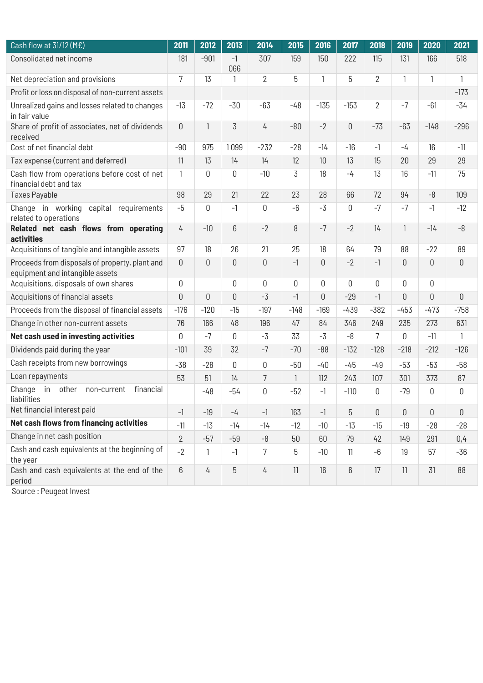| Cash flow at $31/12$ (M $\epsilon$ )                                              | 2011           | 2012           | 2013        | 2014           | 2015   | 2016           | 2017        | 2018           | 2019           | 2020         | 2021        |
|-----------------------------------------------------------------------------------|----------------|----------------|-------------|----------------|--------|----------------|-------------|----------------|----------------|--------------|-------------|
| Consolidated net income                                                           | 181            | $-901$         | $-1$<br>066 | 307            | 159    | 150            | 222         | 115            | 131            | 166          | 518         |
| Net depreciation and provisions                                                   | 7              | 13             | 1           | $\overline{2}$ | 5      | 1              | 5           | $\overline{2}$ | 1              | $\mathbf{1}$ | 1           |
| Profit or loss on disposal of non-current assets                                  |                |                |             |                |        |                |             |                |                |              | $-173$      |
| Unrealized gains and losses related to changes<br>in fair value                   | $-13$          | $-72$          | $-30$       | $-63$          | $-48$  | $-135$         | $-153$      | $\overline{2}$ | $-7$           | $-61$        | -34         |
| Share of profit of associates, net of dividends<br>received                       | $\overline{0}$ | $\mathbf{1}$   | 3           | 4              | $-80$  | $-2$           | $\mathbf 0$ | $-73$          | $-63$          | $-148$       | $-296$      |
| Cost of net financial debt                                                        | $-90$          | 975            | 1099        | $-232$         | $-28$  | $-14$          | $-16$       | $-1$           | $-4$           | 16           | $-11$       |
| Tax expense (current and deferred)                                                | 11             | 13             | 14          | 14             | 12     | 10             | 13          | 15             | 20             | 29           | 29          |
| Cash flow from operations before cost of net<br>financial debt and tax            | $\mathbf{1}$   | 0              | 0           | $-10$          | 3      | 18             | $-4$        | 13             | 16             | $-11$        | 75          |
| <b>Taxes Payable</b>                                                              | 98             | 29             | 21          | 22             | 23     | 28             | 66          | 72             | 94             | $-8$         | 109         |
| Change in working capital requirements<br>related to operations                   | $-5$           | 0              | $-1$        | 0              | $-6$   | $-3$           | 0           | $-7$           | $-7$           | $-1$         | $-12$       |
| Related net cash flows from operating<br><b>activities</b>                        | 4              | $-10$          | 6           | $-2$           | 8      | $-7$           | $-2$        | 14             | $\mathbf{1}$   | $-14$        | $-8$        |
| Acquisitions of tangible and intangible assets                                    | 97             | 18             | 26          | 21             | 25     | 18             | 64          | 79             | 88             | $-22$        | 89          |
| Proceeds from disposals of property, plant and<br>equipment and intangible assets | $\mathbf 0$    | $\mathsf 0$    | 0           | $\overline{0}$ | $-1$   | $\mathbf 0$    | $-2$        | $-1$           | $\overline{0}$ | $\mathbf 0$  | $\mathbf 0$ |
| Acquisitions, disposals of own shares                                             | $\mathbf 0$    |                | 0           | $\mathbf 0$    | 0      | $\mathsf 0$    | 0           | 0              | 0              | 0            |             |
| Acquisitions of financial assets                                                  | $\theta$       | $\overline{0}$ | 0           | $-3$           | $-1$   | $\overline{0}$ | $-29$       | $-1$           | $\overline{0}$ | $\Omega$     | $\mathbf 0$ |
| Proceeds from the disposal of financial assets                                    | $-176$         | $-120$         | $-15$       | $-197$         | $-148$ | $-169$         | $-439$      | $-382$         | $-453$         | $-473$       | $-758$      |
| Change in other non-current assets                                                | 76             | 166            | 48          | 196            | 47     | 84             | 346         | 249            | 235            | 273          | 631         |
| Net cash used in investing activities                                             | $\theta$       | $-7$           | 0           | $-3$           | 33     | $-3$           | $-8$        | $\overline{7}$ | 0              | $-11$        | 1           |
| Dividends paid during the year                                                    | $-101$         | 39             | 32          | $-7$           | $-70$  | $-88$          | $-132$      | $-128$         | $-218$         | $-212$       | $-126$      |
| Cash receipts from new borrowings                                                 | $-38$          | $-28$          | 0           | 0              | $-50$  | $-40$          | $-45$       | $-49$          | $-53$          | $-53$        | $-58$       |
| Loan repayments                                                                   | 53             | 51             | 14          | $\overline{7}$ | 1      | 112            | 243         | 107            | 301            | 373          | 87          |
| in<br>Change<br>other<br>financial<br>non-current<br>liabilities                  |                | $-48$          | $-54$       | 0              | $-52$  | $-1$           | $-110$      | 0              | $-79$          | 0            | 0           |
| Net financial interest paid                                                       | $-1$           | $-19$          | $-4$        | $-1$           | 163    | $-1$           | 5           | $\mathbb O$    | $\mathbf 0$    | 0            | 0           |
| Net cash flows from financing activities                                          | $-11$          | $-13$          | $-14$       | $-14$          | $-12$  | $-10$          | $-13$       | $-15$          | $-19$          | $-28$        | $-28$       |
| Change in net cash position                                                       | $\overline{2}$ | $-57$          | $-59$       | $-8$           | 50     | 60             | 79          | 42             | 149            | 291          | 0,4         |
| Cash and cash equivalents at the beginning of<br>the year                         | $-2$           | $\mathbf{1}$   | $-1$        | $\overline{7}$ | 5      | $-10$          | 11          | $-6$           | 19             | 57           | $-36$       |
| Cash and cash equivalents at the end of the<br>period                             | 6              | 4              | 5           | $\frac{1}{4}$  | 11     | 16             | 6           | 17             | 11             | 31           | 88          |

Source : Peugeot Invest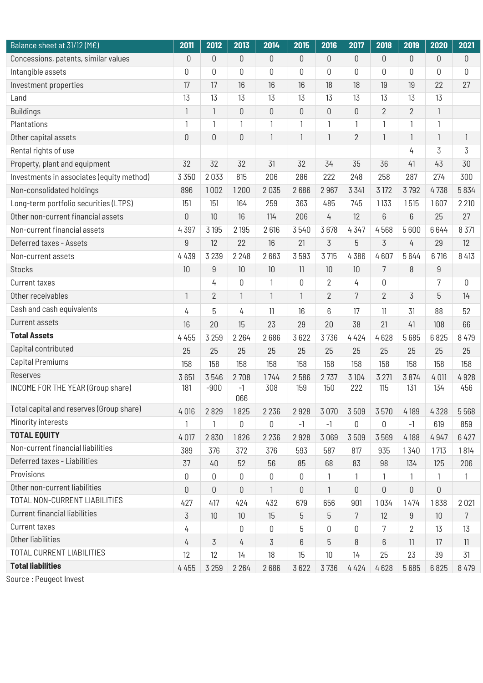| 2011             | 2012            | 2013        | 2014         | 2015             | 2016           | 2017           | 2018         | 2019           | 2020            | 2021            |
|------------------|-----------------|-------------|--------------|------------------|----------------|----------------|--------------|----------------|-----------------|-----------------|
| $\mathbf 0$      | $\mathbb O$     | 0           | $\mathbf 0$  | 0                | 0              | $\mathbf 0$    | $\theta$     | $\mathsf 0$    | $\mathbf 0$     | 0               |
| 0                | 0               | 0           | $\mathbb O$  | $\boldsymbol{0}$ | 0              | 0              | $\mathbf 0$  | 0              | 0               | 0               |
| 17               | 17              | 16          | 16           | 16               | 18             | 18             | 19           | 19             | 22              | 27              |
| 13               | 13              | 13          | 13           | 13               | 13             | 13             | 13           | 13             | 13              |                 |
| $\mathbf{1}$     | $\mathbf{1}$    | 0           | $\mathsf 0$  | 0                | 0              | $\mathbf 0$    | $\mathbf{2}$ | $\overline{2}$ | $\mathbf{1}$    |                 |
| 1                | 1               | 1           | 1            | 1                | 1              | 1              | 1            | 1              | 1               |                 |
| $\boldsymbol{0}$ | $\mathbb O$     | 0           | 1            | $\mathbf{1}$     | $\mathbf{1}$   | $\overline{2}$ | $\mathbf{1}$ | 1              | $\mathbf{1}$    | $\mathbf{1}$    |
|                  |                 |             |              |                  |                |                |              | 4              | 3               | $\overline{3}$  |
| 32               | 32              | 32          | 31           | 32               | 34             | 35             | 36           | 41             | 43              | 30              |
| 3 3 5 0          | 2033            | 815         | 206          | 286              | 222            | 248            | 258          | 287            | 274             | 300             |
| 896              | 1002            | 1200        | 2035         | 2686             | 2967           | 3 3 4 1        | 3 1 7 2      | 3792           | 4738            | 5834            |
| 151              | 151             | 164         | 259          | 363              | 485            | 745            | 1133         | 1515           | 1607            | 2 2 1 0         |
| $\boldsymbol{0}$ | 10              | 16          | 114          | 206              | 4              | 12             | 6            | 6              | 25              | 27              |
| 4397             | 3 195           | 2 195       | 2616         | 3540             | 3678           | 4347           | 4568         | 5 6 0 0        | 6644            | 8 3 7 1         |
| $\boldsymbol{9}$ | 12              | 22          | 16           | 21               | 3              | 5              | 3            | 4              | 29              | 12              |
| 4 4 3 9          | 3 2 3 9         | 2 2 4 8     | 2663         | 3593             | 3 715          | 4386           | 4607         | 5644           | 6716            | 8 4 1 3         |
| 10               | 9               | 10          | 10           | 11               | 10             | 10             | 7            | 8              | $9\,$           |                 |
|                  | 4               | 0           | 1            | $\mathbf 0$      | $\overline{2}$ | 4              | $\mathbf 0$  |                | $\overline{7}$  | 0               |
| $\mathbf{1}$     | $\overline{2}$  | 1           | $\mathbf{1}$ | $\mathbf{1}$     | $\overline{2}$ | $\overline{7}$ | $\mathbf{2}$ | 3              | 5               | 14              |
| 4                | 5               | 4           | 11           | 16               | 6              | 17             | 11           | 31             | 88              | 52              |
| 16               | 20              | 15          | 23           | 29               | 20             | 38             | 21           | 41             | 108             | 66              |
| 4 4 5 5          | 3 2 5 9         | 2 2 6 4     | 2686         | 3622             | 3736           | 4 4 2 4        | 4628         | 5685           | 6825            | 8 4 7 9         |
| 25               | 25              | 25          | 25           | 25               | 25             | 25             | 25           | 25             | 25              | 25              |
| 158              | 158             | 158         | 158          | 158              | 158            | 158            | 158          | 158            | 158             | 158             |
| 3651             | 3546            | 2708        | 1744         | 2586             | 2737           | 3 104          | 3 2 7 1      | 3 8 7 4        | 4 0 11          | 4928            |
| 181              | $-900$          | $-1$<br>066 | 308          | 159              | 150            | 222            | 115          | 131            | 134             | 456             |
| 4 0 16           | 2829            | 1825        | 2 2 3 6      | 2928             | 3 0 7 0        | 3509           | 3570         | 4189           | 4328            | 5568            |
| 1                | 1               | 0           | $\mathbf 0$  | $-1$             | $-1$           | 0              | $\mathbf 0$  | $-1$           | 619             | 859             |
| 4 0 17           | 2830            | 1826        | 2 2 3 6      | 2928             | 3 0 6 9        | 3509           | 3569         | 4 1 8 8        | 4947            | 6427            |
| 389              | 376             | 372         | 376          | 593              | 587            | 817            | 935          | 1340           | 1713            | 1814            |
| 37               | 40              | 52          | 56           | 85               | 68             | 83             | 98           | 134            | 125             | 206             |
| 0                | $\mathbb O$     | 0           | 0            | $\mathbb O$      | 1              | 1              | 1            | 1              | 1               | 1               |
| 0                | $\mathsf 0$     | 0           | 1            | 0                | 1              | 0              | $\mathbb O$  | 0              | 0               |                 |
| 427              | 417             | 424         | 432          | 679              | 656            | 901            | 1034         | 1474           | 1838            | 2021            |
| 3                | 10 <sup>°</sup> | 10          | 15           | 5                | 5              | $\overline{7}$ | 12           | $9\,$          | 10 <sup>°</sup> | $7\overline{ }$ |
| 4                |                 | 0           | 0            | 5                | 0              | 0              | 7            | 2              | 13              | 13              |
| 4                | $\overline{3}$  | 4           | 3            | 6                | 5              | 8              | 6            | 11             | 17              | 11              |
| 12               | 12              | 14          | 18           | 15               | 10             | 14             | 25           | 23             | 39              | 31              |
| 4 4 5 5          | 3 2 5 9         | 2 2 6 4     | 2686         | 3622             | 3736           | 4424           | 4628         | 5685           | 6825            | 8 4 7 9         |
|                  |                 |             |              |                  |                |                |              |                |                 |                 |

Source : Peugeot Invest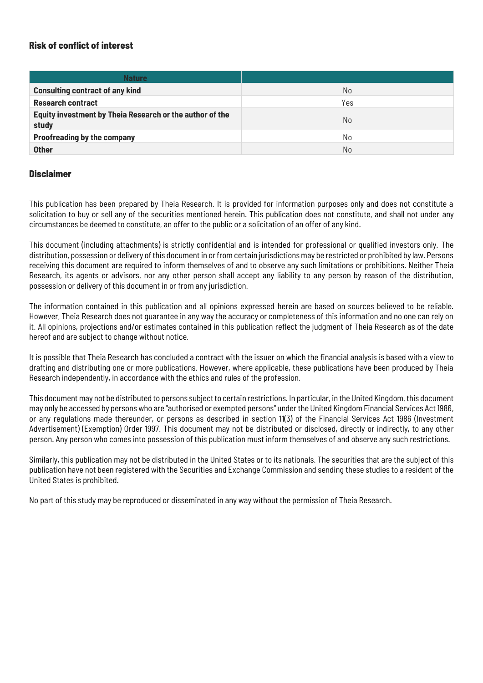#### Risk of conflict of interest

| <b>Nature</b>                                                     |     |
|-------------------------------------------------------------------|-----|
| <b>Consulting contract of any kind</b>                            | No  |
| <b>Research contract</b>                                          | Yes |
| Equity investment by Theia Research or the author of the<br>study | No  |
| <b>Proofreading by the company</b>                                | No  |
| <b>Other</b>                                                      | No  |

#### **Disclaimer**

This publication has been prepared by Theia Research. It is provided for information purposes only and does not constitute a solicitation to buy or sell any of the securities mentioned herein. This publication does not constitute, and shall not under any circumstances be deemed to constitute, an offer to the public or a solicitation of an offer of any kind.

This document (including attachments) is strictly confidential and is intended for professional or qualified investors only. The distribution, possession or delivery of this document in or from certain jurisdictions may be restricted or prohibited by law. Persons receiving this document are required to inform themselves of and to observe any such limitations or prohibitions. Neither Theia Research, its agents or advisors, nor any other person shall accept any liability to any person by reason of the distribution, possession or delivery of this document in or from any jurisdiction.

The information contained in this publication and all opinions expressed herein are based on sources believed to be reliable. However, Theia Research does not guarantee in any way the accuracy or completeness of this information and no one can rely on it. All opinions, projections and/or estimates contained in this publication reflect the judgment of Theia Research as of the date hereof and are subject to change without notice.

It is possible that Theia Research has concluded a contract with the issuer on which the financial analysis is based with a view to drafting and distributing one or more publications. However, where applicable, these publications have been produced by Theia Research independently, in accordance with the ethics and rules of the profession.

This document may not be distributed to persons subject to certain restrictions. In particular, in the United Kingdom, this document may only be accessed by persons who are "authorised or exempted persons" under the United Kingdom Financial Services Act 1986, or any regulations made thereunder, or persons as described in section 11(3) of the Financial Services Act 1986 (Investment Advertisement) (Exemption) Order 1997. This document may not be distributed or disclosed, directly or indirectly, to any other person. Any person who comes into possession of this publication must inform themselves of and observe any such restrictions.

Similarly, this publication may not be distributed in the United States or to its nationals. The securities that are the subject of this publication have not been registered with the Securities and Exchange Commission and sending these studies to a resident of the United States is prohibited.

No part of this study may be reproduced or disseminated in any way without the permission of Theia Research.